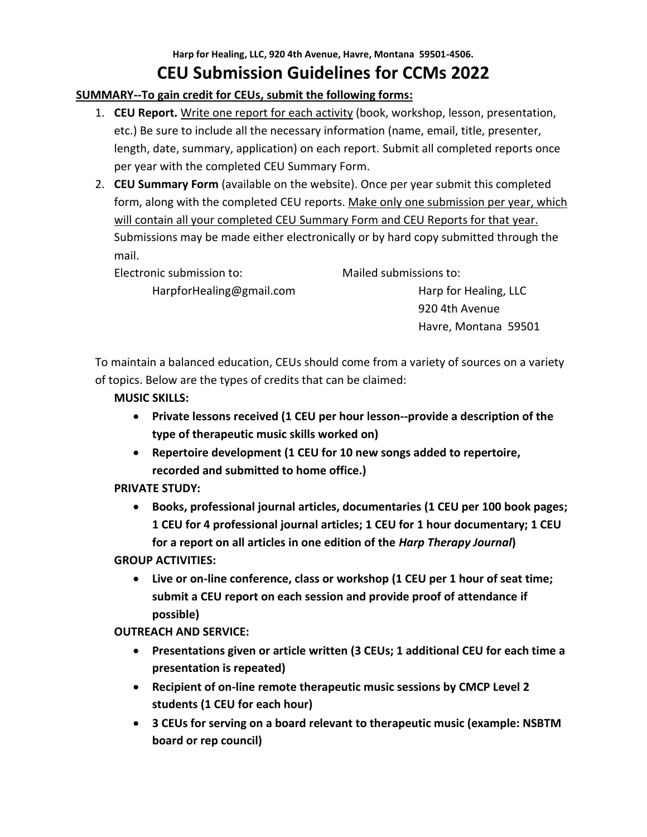# **Harp for Healing, LLC, 920 4th Avenue, Havre, Montana 59501-4506. CEU Submission Guidelines for CCMs 2022**

# **SUMMARY--To gain credit for CEUs, submit the following forms:**

- 1. **CEU Report.** Write one report for each activity (book, workshop, lesson, presentation, etc.) Be sure to include all the necessary information (name, email, title, presenter, length, date, summary, application) on each report. Submit all completed reports once per year with the completed CEU Summary Form.
- 2. **CEU Summary Form** (available on the website). Once per year submit this completed form, along with the completed CEU reports. Make only one submission per year, which will contain all your completed CEU Summary Form and CEU Reports for that year. Submissions may be made either electronically or by hard copy submitted through the mail.

| Electronic submission to: | Mailed submissions to: |
|---------------------------|------------------------|
| HarpforHealing@gmail.com  | Harp for Healing, LLC  |
|                           | 920 4th Avenue         |
|                           | Havre, Montana 59501   |

To maintain a balanced education, CEUs should come from a variety of sources on a variety of topics. Below are the types of credits that can be claimed:

# **MUSIC SKILLS:**

- **Private lessons received (1 CEU per hour lesson--provide a description of the type of therapeutic music skills worked on)**
- **Repertoire development (1 CEU for 10 new songs added to repertoire, recorded and submitted to home office.)**

# **PRIVATE STUDY:**

• **Books, professional journal articles, documentaries (1 CEU per 100 book pages; 1 CEU for 4 professional journal articles; 1 CEU for 1 hour documentary; 1 CEU for a report on all articles in one edition of the** *Harp Therapy Journal***)** 

## **GROUP ACTIVITIES:**

• **Live or on-line conference, class or workshop (1 CEU per 1 hour of seat time; submit a CEU report on each session and provide proof of attendance if possible)**

**OUTREACH AND SERVICE:**

- **Presentations given or article written (3 CEUs; 1 additional CEU for each time a presentation is repeated)**
- **Recipient of on-line remote therapeutic music sessions by CMCP Level 2 students (1 CEU for each hour)**
- **3 CEUs for serving on a board relevant to therapeutic music (example: NSBTM board or rep council)**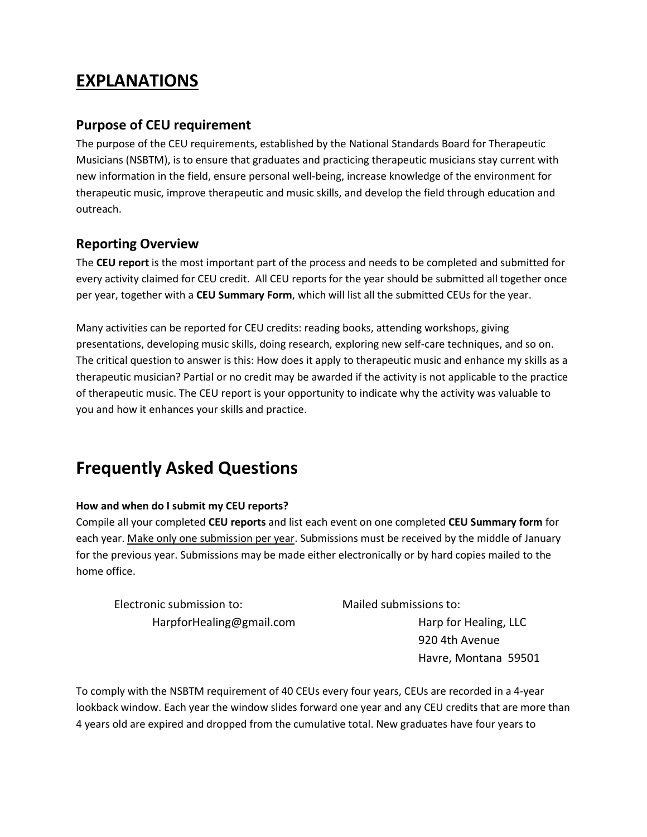# **EXPLANATIONS**

# **Purpose of CEU requirement**

The purpose of the CEU requirements, established by the National Standards Board for Therapeutic Musicians (NSBTM), is to ensure that graduates and practicing therapeutic musicians stay current with new information in the field, ensure personal well-being, increase knowledge of the environment for therapeutic music, improve therapeutic and music skills, and develop the field through education and outreach.

# **Reporting Overview**

The **CEU report** is the most important part of the process and needs to be completed and submitted for every activity claimed for CEU credit. All CEU reports for the year should be submitted all together once per year, together with a **CEU Summary Form**, which will list all the submitted CEUs for the year.

Many activities can be reported for CEU credits: reading books, attending workshops, giving presentations, developing music skills, doing research, exploring new self-care techniques, and so on. The critical question to answer is this: How does it apply to therapeutic music and enhance my skills as a therapeutic musician? Partial or no credit may be awarded if the activity is not applicable to the practice of therapeutic music. The CEU report is your opportunity to indicate why the activity was valuable to you and how it enhances your skills and practice.

# **Frequently Asked Questions**

## **How and when do I submit my CEU reports?**

Compile all your completed **CEU reports** and list each event on one completed **CEU Summary form** for each year. Make only one submission per year. Submissions must be received by the middle of January for the previous year. Submissions may be made either electronically or by hard copies mailed to the home office.

| Electronic submission to: | Mailed submissions to: |
|---------------------------|------------------------|
| HarpforHealing@gmail.com  | Harp for Healing, LLC  |
|                           | 920 4th Avenue         |

Havre, Montana 59501

To comply with the NSBTM requirement of 40 CEUs every four years, CEUs are recorded in a 4-year lookback window. Each year the window slides forward one year and any CEU credits that are more than 4 years old are expired and dropped from the cumulative total. New graduates have four years to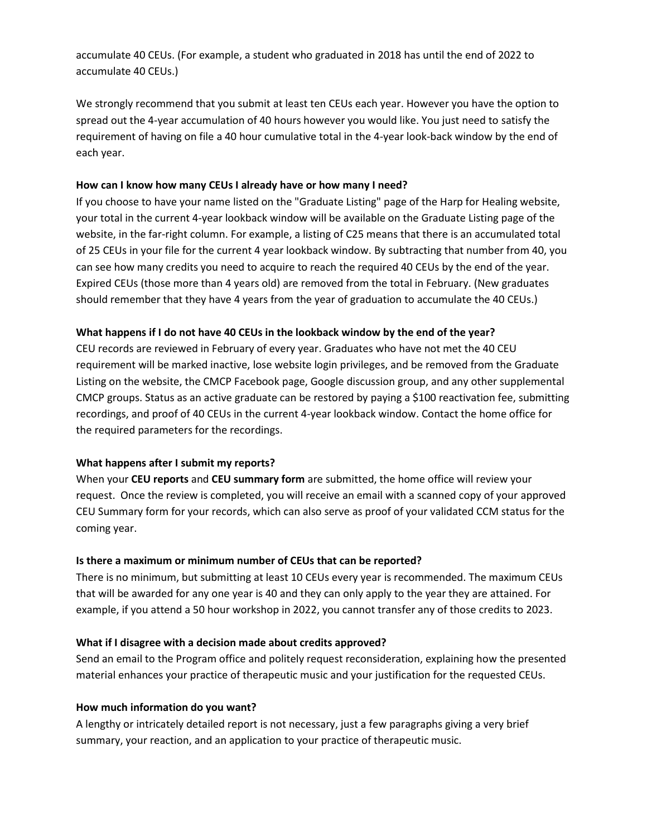accumulate 40 CEUs. (For example, a student who graduated in 2018 has until the end of 2022 to accumulate 40 CEUs.)

We strongly recommend that you submit at least ten CEUs each year. However you have the option to spread out the 4-year accumulation of 40 hours however you would like. You just need to satisfy the requirement of having on file a 40 hour cumulative total in the 4-year look-back window by the end of each year.

#### **How can I know how many CEUs I already have or how many I need?**

If you choose to have your name listed on the "Graduate Listing" page of the Harp for Healing website, your total in the current 4-year lookback window will be available on the Graduate Listing page of the website, in the far-right column. For example, a listing of C25 means that there is an accumulated total of 25 CEUs in your file for the current 4 year lookback window. By subtracting that number from 40, you can see how many credits you need to acquire to reach the required 40 CEUs by the end of the year. Expired CEUs (those more than 4 years old) are removed from the total in February. (New graduates should remember that they have 4 years from the year of graduation to accumulate the 40 CEUs.)

#### **What happens if I do not have 40 CEUs in the lookback window by the end of the year?**

CEU records are reviewed in February of every year. Graduates who have not met the 40 CEU requirement will be marked inactive, lose website login privileges, and be removed from the Graduate Listing on the website, the CMCP Facebook page, Google discussion group, and any other supplemental CMCP groups. Status as an active graduate can be restored by paying a \$100 reactivation fee, submitting recordings, and proof of 40 CEUs in the current 4-year lookback window. Contact the home office for the required parameters for the recordings.

## **What happens after I submit my reports?**

When your **CEU reports** and **CEU summary form** are submitted, the home office will review your request. Once the review is completed, you will receive an email with a scanned copy of your approved CEU Summary form for your records, which can also serve as proof of your validated CCM status for the coming year.

#### **Is there a maximum or minimum number of CEUs that can be reported?**

There is no minimum, but submitting at least 10 CEUs every year is recommended. The maximum CEUs that will be awarded for any one year is 40 and they can only apply to the year they are attained. For example, if you attend a 50 hour workshop in 2022, you cannot transfer any of those credits to 2023.

## **What if I disagree with a decision made about credits approved?**

Send an email to the Program office and politely request reconsideration, explaining how the presented material enhances your practice of therapeutic music and your justification for the requested CEUs.

## **How much information do you want?**

A lengthy or intricately detailed report is not necessary, just a few paragraphs giving a very brief summary, your reaction, and an application to your practice of therapeutic music.